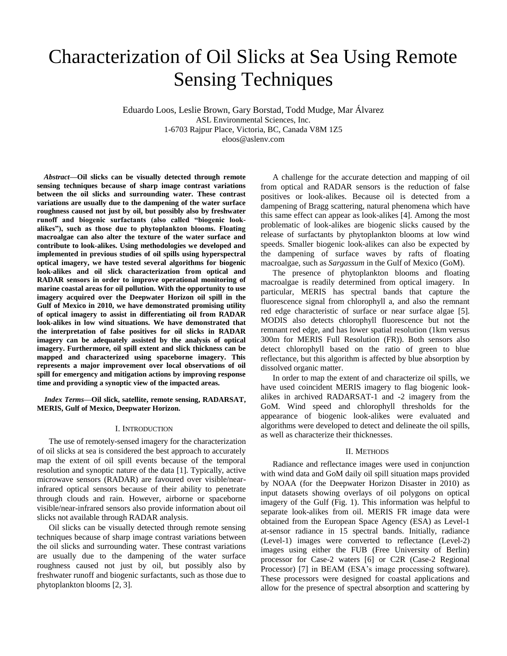# Characterization of Oil Slicks at Sea Using Remote Sensing Techniques

Eduardo Loos, Leslie Brown, Gary Borstad, Todd Mudge, Mar Álvarez ASL Environmental Sciences, Inc. 1-6703 Rajpur Place, Victoria, BC, Canada V8M 1Z5 eloos@aslenv.com

*Abstract***—Oil slicks can be visually detected through remote sensing techniques because of sharp image contrast variations between the oil slicks and surrounding water. These contrast variations are usually due to the dampening of the water surface roughness caused not just by oil, but possibly also by freshwater runoff and biogenic surfactants (also called "biogenic lookalikes"), such as those due to phytoplankton blooms. Floating macroalgae can also alter the texture of the water surface and contribute to look-alikes. Using methodologies we developed and implemented in previous studies of oil spills using hyperspectral optical imagery, we have tested several algorithms for biogenic look-alikes and oil slick characterization from optical and RADAR sensors in order to improve operational monitoring of marine coastal areas for oil pollution. With the opportunity to use imagery acquired over the Deepwater Horizon oil spill in the Gulf of Mexico in 2010, we have demonstrated promising utility of optical imagery to assist in differentiating oil from RADAR look-alikes in low wind situations. We have demonstrated that the interpretation of false positives for oil slicks in RADAR imagery can be adequately assisted by the analysis of optical imagery. Furthermore, oil spill extent and slick thickness can be mapped and characterized using spaceborne imagery. This represents a major improvement over local observations of oil spill for emergency and mitigation actions by improving response time and providing a synoptic view of the impacted areas.**

*Index Terms***—Oil slick, satellite, remote sensing, RADARSAT, MERIS, Gulf of Mexico, Deepwater Horizon.**

## I. INTRODUCTION

The use of remotely-sensed imagery for the characterization of oil slicks at sea is considered the best approach to accurately map the extent of oil spill events because of the temporal resolution and synoptic nature of the data [1]. Typically, active microwave sensors (RADAR) are favoured over visible/nearinfrared optical sensors because of their ability to penetrate through clouds and rain. However, airborne or spaceborne visible/near-infrared sensors also provide information about oil slicks not available through RADAR analysis.

Oil slicks can be visually detected through remote sensing techniques because of sharp image contrast variations between the oil slicks and surrounding water. These contrast variations are usually due to the dampening of the water surface roughness caused not just by oil, but possibly also by freshwater runoff and biogenic surfactants, such as those due to phytoplankton blooms [2, 3].

A challenge for the accurate detection and mapping of oil from optical and RADAR sensors is the reduction of false positives or look-alikes. Because oil is detected from a dampening of Bragg scattering, natural phenomena which have this same effect can appear as look-alikes [4]. Among the most problematic of look-alikes are biogenic slicks caused by the release of surfactants by phytoplankton blooms at low wind speeds. Smaller biogenic look-alikes can also be expected by the dampening of surface waves by rafts of floating macroalgae, such as *Sargassum* in the Gulf of Mexico (GoM).

The presence of phytoplankton blooms and floating macroalgae is readily determined from optical imagery. In particular, MERIS has spectral bands that capture the fluorescence signal from chlorophyll a, and also the remnant red edge characteristic of surface or near surface algae [5]. MODIS also detects chlorophyll fluorescence but not the remnant red edge, and has lower spatial resolution (1km versus 300m for MERIS Full Resolution (FR)). Both sensors also detect chlorophyll based on the ratio of green to blue reflectance, but this algorithm is affected by blue absorption by dissolved organic matter.

In order to map the extent of and characterize oil spills, we have used coincident MERIS imagery to flag biogenic lookalikes in archived RADARSAT-1 and -2 imagery from the GoM. Wind speed and chlorophyll thresholds for the appearance of biogenic look-alikes were evaluated and algorithms were developed to detect and delineate the oil spills, as well as characterize their thicknesses.

## II. METHODS

Radiance and reflectance images were used in conjunction with wind data and GoM daily oil spill situation maps provided by NOAA (for the Deepwater Horizon Disaster in 2010) as input datasets showing overlays of oil polygons on optical imagery of the Gulf (Fig. 1). This information was helpful to separate look-alikes from oil. MERIS FR image data were obtained from the European Space Agency (ESA) as Level-1 at-sensor radiance in 15 spectral bands. Initially, radiance (Level-1) images were converted to reflectance (Level-2) images using either the FUB (Free University of Berlin) processor for Case-2 waters [6] or C2R (Case-2 Regional Processor) [7] in BEAM (ESA's image processing software). These processors were designed for coastal applications and allow for the presence of spectral absorption and scattering by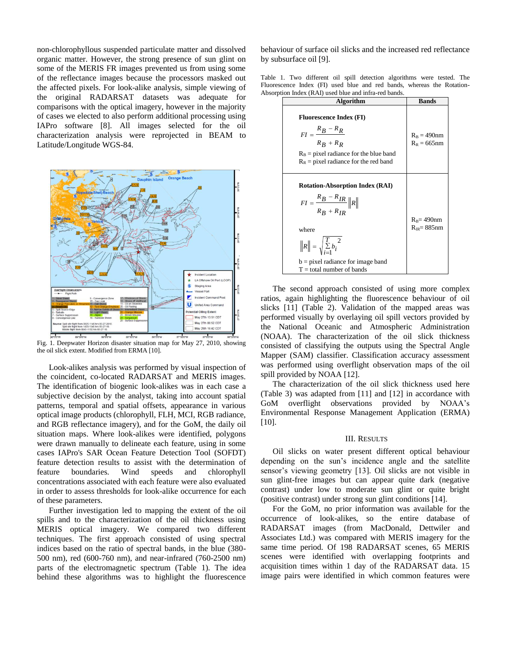non-chlorophyllous suspended particulate matter and dissolved organic matter. However, the strong presence of sun glint on some of the MERIS FR images prevented us from using some of the reflectance images because the processors masked out the affected pixels. For look-alike analysis, simple viewing of the original RADARSAT datasets was adequate for comparisons with the optical imagery, however in the majority of cases we elected to also perform additional processing using IAPro software [8]. All images selected for the oil characterization analysis were reprojected in BEAM to Latitude/Longitude WGS-84.



Fig. 1. Deepwater Horizon disaster situation map for May 27, 2010, showing the oil slick extent. Modified from ERMA [10].

Look-alikes analysis was performed by visual inspection of the coincident, co-located RADARSAT and MERIS images. The identification of biogenic look-alikes was in each case a subjective decision by the analyst, taking into account spatial patterns, temporal and spatial offsets, appearance in various optical image products (chlorophyll, FLH, MCI, RGB radiance, and RGB reflectance imagery), and for the GoM, the daily oil situation maps. Where look-alikes were identified, polygons were drawn manually to delineate each feature, using in some cases IAPro's SAR Ocean Feature Detection Tool (SOFDT) feature detection results to assist with the determination of feature boundaries. Wind speeds and chlorophyll concentrations associated with each feature were also evaluated in order to assess thresholds for look-alike occurrence for each of these parameters.

Further investigation led to mapping the extent of the oil spills and to the characterization of the oil thickness using MERIS optical imagery. We compared two different techniques. The first approach consisted of using spectral indices based on the ratio of spectral bands, in the blue (380- 500 nm), red (600-760 nm), and near-infrared (760-2500 nm) parts of the electromagnetic spectrum (Table 1). The idea behind these algorithms was to highlight the fluorescence

behaviour of surface oil slicks and the increased red reflectance by subsurface oil [9].

Table 1. Two different oil spill detection algorithms were tested. The Fluorescence Index (FI) used blue and red bands, whereas the Rotation-Absorption Index (RAI) used blue and infra-red bands.

| <b>Algorithm</b>                                                                                                                                                                                                        | <b>Bands</b>                       |
|-------------------------------------------------------------------------------------------------------------------------------------------------------------------------------------------------------------------------|------------------------------------|
| <b>Fluorescence Index (FI)</b><br>$FI = \frac{R_B - R_R}{R}$<br>$R_R + R_R$<br>$R_B$ = pixel radiance for the blue band<br>$R_R$ = pixel radiance for the red band                                                      | $R_B = 490$ nm<br>$R_{R} = 665$ nm |
| <b>Rotation-Absorption Index (RAI)</b><br>$FI = \frac{R_B - R_{IR}}{R}   R  $<br>$R_R + R_{IR}$<br>where<br>$  R   = \sqrt{\sum_{i=1}^{T} b_i^2}$<br>$b = pixel$ radiance for image band<br>$T =$ total number of bands | $R_B$ = 490nm<br>$R_{IR} = 885$ nm |

The second approach consisted of using more complex ratios, again highlighting the fluorescence behaviour of oil slicks [11] (Table 2). Validation of the mapped areas was performed visually by overlaying oil spill vectors provided by the National Oceanic and Atmospheric Administration (NOAA). The characterization of the oil slick thickness consisted of classifying the outputs using the Spectral Angle Mapper (SAM) classifier. Classification accuracy assessment was performed using overflight observation maps of the oil spill provided by NOAA [12].

The characterization of the oil slick thickness used here (Table 3) was adapted from [11] and [12] in accordance with GoM overflight observations provided by NOAA's Environmental Response Management Application (ERMA) [10].

# III. RESULTS

Oil slicks on water present different optical behaviour depending on the sun's incidence angle and the satellite sensor's viewing geometry [13]. Oil slicks are not visible in sun glint-free images but can appear quite dark (negative contrast) under low to moderate sun glint or quite bright (positive contrast) under strong sun glint conditions [14].

For the GoM, no prior information was available for the occurrence of look-alikes, so the entire database of RADARSAT images (from MacDonald, Dettwiler and Associates Ltd.) was compared with MERIS imagery for the same time period. Of 198 RADARSAT scenes, 65 MERIS scenes were identified with overlapping footprints and acquisition times within 1 day of the RADARSAT data. 15 image pairs were identified in which common features were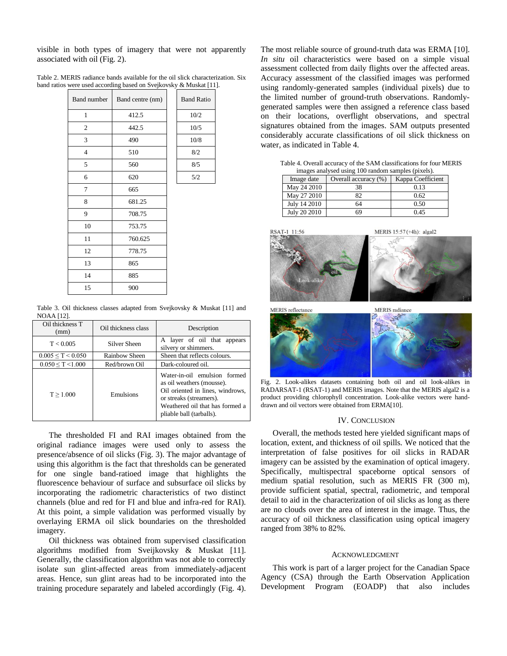visible in both types of imagery that were not apparently associated with oil (Fig. 2).

Table 2. MERIS radiance bands available for the oil slick characterization. Six band ratios were used according based on Svejkovsky & Muskat [11].

| <b>Band number</b> | Band centre (nm) | <b>Band Ratio</b> |
|--------------------|------------------|-------------------|
| 1                  | 412.5            | 10/2              |
| $\mathfrak{2}$     | 442.5            | 10/5              |
| 3                  | 490              | 10/8              |
| 4                  | 510              | 8/2               |
| 5                  | 560              | 8/5               |
| 6                  | 620              | 5/2               |
| 7                  | 665              |                   |
| 8                  | 681.25           |                   |
| 9                  | 708.75           |                   |
| 10                 | 753.75           |                   |
| 11                 | 760.625          |                   |
| 12                 | 778.75           |                   |
| 13                 | 865              |                   |
| 14                 | 885              |                   |
| 15                 | 900              |                   |

Table 3. Oil thickness classes adapted from Svejkovsky & Muskat [11] and NOAA [12].

| Oil thickness T<br>(mm)   | Oil thickness class | Description                                                                                                                                                                             |  |
|---------------------------|---------------------|-----------------------------------------------------------------------------------------------------------------------------------------------------------------------------------------|--|
| T < 0.005                 | Silver Sheen        | A layer of oil that appears<br>silvery or shimmers.                                                                                                                                     |  |
| $0.005 \leq T \leq 0.050$ | Rainbow Sheen       | Sheen that reflects colours.                                                                                                                                                            |  |
| $0.050 \leq T \leq 1.000$ | Red/brown Oil       | Dark-coloured oil.                                                                                                                                                                      |  |
| T > 1.000                 | Emulsions           | Water-in-oil emulsion formed<br>as oil weathers (mousse).<br>Oil oriented in lines, windrows,<br>or streaks (streamers).<br>Weathered oil that has formed a<br>pliable ball (tarballs). |  |

The thresholded FI and RAI images obtained from the original radiance images were used only to assess the presence/absence of oil slicks (Fig. 3). The major advantage of using this algorithm is the fact that thresholds can be generated for one single band-ratioed image that highlights the fluorescence behaviour of surface and subsurface oil slicks by incorporating the radiometric characteristics of two distinct channels (blue and red for FI and blue and infra-red for RAI). At this point, a simple validation was performed visually by overlaying ERMA oil slick boundaries on the thresholded imagery.

Oil thickness was obtained from supervised classification algorithms modified from Sveijkovsky & Muskat [11]. Generally, the classification algorithm was not able to correctly isolate sun glint-affected areas from immediately-adjacent areas. Hence, sun glint areas had to be incorporated into the training procedure separately and labeled accordingly (Fig. 4). The most reliable source of ground-truth data was ERMA [10]. *In situ* oil characteristics were based on a simple visual assessment collected from daily flights over the affected areas. Accuracy assessment of the classified images was performed using randomly-generated samples (individual pixels) due to the limited number of ground-truth observations. Randomlygenerated samples were then assigned a reference class based on their locations, overflight observations, and spectral signatures obtained from the images. SAM outputs presented considerably accurate classifications of oil slick thickness on water, as indicated in Table 4.

Table 4. Overall accuracy of the SAM classifications for four MERIS images analysed using 100 random samples (pixels).

| Image date   | Overall accuracy (%) | Kappa Coefficient |
|--------------|----------------------|-------------------|
| May 24 2010  | 38                   | 0.13              |
| May 27 2010  | 82                   | 0.62              |
| July 14 2010 | 64                   | 0.50              |
| July 20 2010 | 69                   | 0.45              |



MERIS reflectance



Fig. 2. Look-alikes datasets containing both oil and oil look-alikes in RADARSAT-1 (RSAT-1) and MERIS images. Note that the MERIS algal2 is a product providing chlorophyll concentration. Look-alike vectors were handdrawn and oil vectors were obtained from ERMA[10].

# IV. CONCLUSION

Overall, the methods tested here yielded significant maps of location, extent, and thickness of oil spills. We noticed that the interpretation of false positives for oil slicks in RADAR imagery can be assisted by the examination of optical imagery. Specifically, multispectral spaceborne optical sensors of medium spatial resolution, such as MERIS FR (300 m), provide sufficient spatial, spectral, radiometric, and temporal detail to aid in the characterization of oil slicks as long as there are no clouds over the area of interest in the image. Thus, the accuracy of oil thickness classification using optical imagery ranged from 38% to 82%.

### ACKNOWLEDGMENT

This work is part of a larger project for the Canadian Space Agency (CSA) through the Earth Observation Application Development Program (EOADP) that also includes